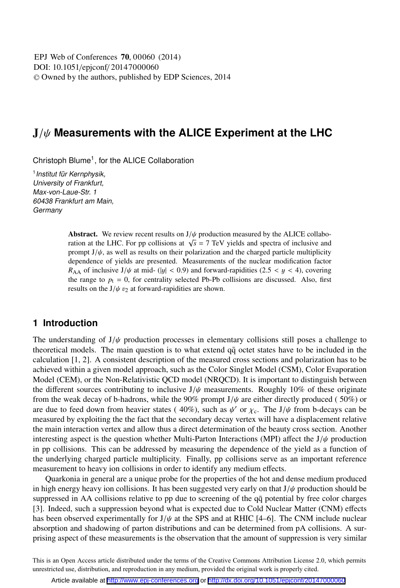DOI: 10.1051/epjconf/ 20147000060 -<sup>C</sup> Owned by the authors, published by EDP Sciences, 2014 EPJ Web of Conferences **70**, 00060 (2014)

# J/ψ **Measurements with the ALICE Experiment at the LHC**

Christoph Blume<sup>1</sup>, for the ALICE Collaboration

<sup>1</sup> Institut für Kernphysik, University of Frankfurt, Max-von-Laue-Str. 1 60438 Frankfurt am Main, **Germany** 

> Abstract. We review recent results on  $J/\psi$  production measured by the ALICE collaboration at the LHC. For pp collisions at  $\sqrt{s} = 7$  TeV yields and spectra of inclusive and prompt  $J/\psi$ , as well as results on their polarization and the charged particle multiplicity dependence of yields are presented. Measurements of the nuclear modification factor  $R_{AA}$  of inclusive J/ $\psi$  at mid- (|y| < 0.9) and forward-rapidities (2.5 < y < 4), covering the range to  $p_t = 0$ , for centrality selected Pb-Pb collisions are discussed. Also, first results on the  $J/\psi v_2$  at forward-rapidities are shown.

# **1 Introduction**

The understanding of  $J/\psi$  production processes in elementary collisions still poses a challenge to theoretical models. The main question is to what extend  $q\bar{q}$  octet states have to be included in the calculation [1, 2]. A consistent description of the measured cross sections and polarization has to be achieved within a given model approach, such as the Color Singlet Model (CSM), Color Evaporation Model (CEM), or the Non-Relativistic QCD model (NRQCD). It is important to distinguish between the different sources contributing to inclusive  $J/\psi$  measurements. Roughly 10% of these originate from the weak decay of b-hadrons, while the 90% prompt  $J/\psi$  are either directly produced (50%) or are due to feed down from heavier states (40%), such as  $\psi'$  or  $\chi_c$ . The J/ $\psi$  from b-decays can be measured by exploiting the the fact that the secondary decay vertex will have a displacement relative the main interaction vertex and allow thus a direct determination of the beauty cross section. Another interesting aspect is the question whether Multi-Parton Interactions (MPI) affect the  $J/\psi$  production in pp collisions. This can be addressed by measuring the dependence of the yield as a function of the underlying charged particle multiplicity. Finally, pp collisions serve as an important reference measurement to heavy ion collisions in order to identify any medium effects.

Quarkonia in general are a unique probe for the properties of the hot and dense medium produced in high energy heavy ion collisions. It has been suggested very early on that  $J/\psi$  production should be suppressed in AA collisions relative to pp due to screening of the qq potential by free color charges [3]. Indeed, such a suppression beyond what is expected due to Cold Nuclear Matter (CNM) effects has been observed experimentally for  $J/\psi$  at the SPS and at RHIC [4–6]. The CNM include nuclear absorption and shadowing of parton distributions and can be determined from pA collisions. A surprising aspect of these measurements is the observation that the amount of suppression is very similar

This is an Open Access article distributed under the terms of the Creative Commons Attribution License 2.0, which permits unrestricted use, distribution, and reproduction in any medium, provided the original work is properly cited.

Article available at <http://www.epj-conferences.org> or <http://dx.doi.org/10.1051/epjconf/20147000060>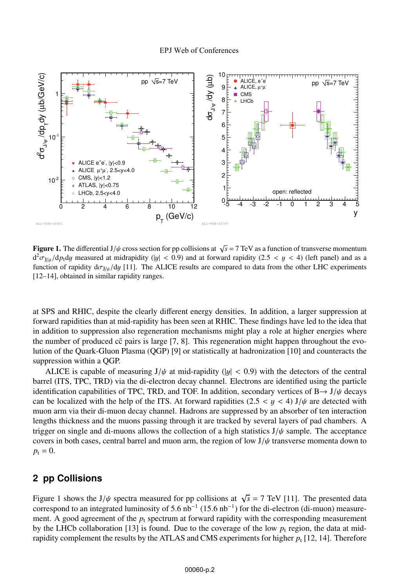

**Figure 1.** The differential J/ $\psi$  cross section for pp collisions at  $\sqrt{s} = 7$  TeV as a function of transverse momentum  $d^2 \sigma_{J/\psi}/dp_t dy$  measured at midrapidity (|y| < 0.9) and at forward rapidity (2.5 < y < 4) (left panel) and as a function of rapidity  $d\sigma_{J/\psi}/dy$  [11]. The ALICE results are compared to data from the other LHC experiments [12–14], obtained in similar rapidity ranges.

at SPS and RHIC, despite the clearly different energy densities. In addition, a larger suppression at forward rapidities than at mid-rapidity has been seen at RHIC. These findings have led to the idea that in addition to suppression also regeneration mechanisms might play a role at higher energies where the number of produced  $c\bar{c}$  pairs is large [7, 8]. This regeneration might happen throughout the evolution of the Quark-Gluon Plasma (QGP) [9] or statistically at hadronization [10] and counteracts the suppression within a QGP.

ALICE is capable of measuring  $J/\psi$  at mid-rapidity (|y| < 0.9) with the detectors of the central barrel (ITS, TPC, TRD) via the di-electron decay channel. Electrons are identified using the particle identification capabilities of TPC, TRD, and TOF. In addition, secondary vertices of  $B \rightarrow J/\psi$  decays can be localized with the help of the ITS. At forward rapidities (2.5  $\lt y \lt 4$ ) J/ $\psi$  are detected with muon arm via their di-muon decay channel. Hadrons are suppressed by an absorber of ten interaction lengths thickness and the muons passing through it are tracked by several layers of pad chambers. A trigger on single and di-muons allows the collection of a high statistics  $J/\psi$  sample. The acceptance covers in both cases, central barrel and muon arm, the region of low  $J/\psi$  transverse momenta down to  $p_t = 0$ .

## **2 pp Collisions**

Figure 1 shows the J/ $\psi$  spectra measured for pp collisions at  $\sqrt{s} = 7$  TeV [11]. The presented data correspond to an integrated luminosity of 5.6  $nb^{-1}$  (15.6  $nb^{-1}$ ) for the di-electron (di-muon) measurement. A good agreement of the  $p_t$  spectrum at forward rapidity with the corresponding measurement by the LHCb collaboration [13] is found. Due to the coverage of the low  $p_t$  region, the data at midrapidity complement the results by the ATLAS and CMS experiments for higher  $p_t$  [12, 14]. Therefore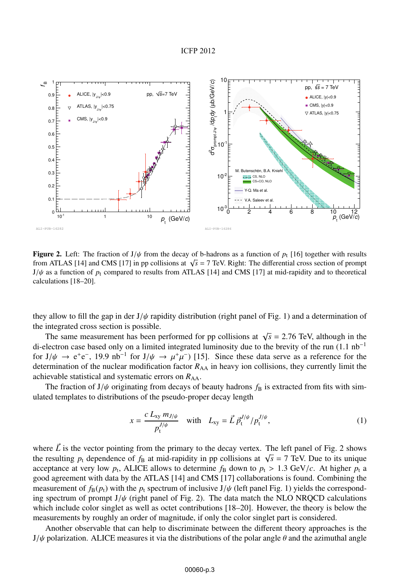#### ICFP 2012



**Figure 2.** Left: The fraction of  $J/\psi$  from the decay of b-hadrons as a function of  $p_t$  [16] together with results from ATLAS [14] and CMS [17] in pp collisions at  $\sqrt{s}$  = 7 TeV. Right: The differential cross section of prompt  $J/\psi$  as a function of  $p_t$  compared to results from ATLAS [14] and CMS [17] at mid-rapidity and to theoretical calculations [18–20].

they allow to fill the gap in der  $J/\psi$  rapidity distribution (right panel of Fig. 1) and a determination of the integrated cross section is possible.

The same measurement has been performed for pp collisions at  $\sqrt{s}$  = 2.76 TeV, although in the di-electron case based only on a limited integrated luminosity due to the brevity of the run  $(1.1 \text{ nb}^{-1})$ for  $J/\psi \to e^+e^-$ , 19.9 nb<sup>-1</sup> for  $J/\psi \to \mu^+\mu^-$  [15]. Since these data serve as a reference for the determination of the nuclear modification factor  $R_{AA}$  in heavy ion collisions, they currently limit the achievable statistical and systematic errors on  $R_{AA}$ .

The fraction of  $J/\psi$  originating from decays of beauty hadrons  $f_B$  is extracted from fits with simulated templates to distributions of the pseudo-proper decay length

$$
x = \frac{c L_{xy} m_{J/\psi}}{p_t^{J/\psi}} \quad \text{with} \quad L_{xy} = \vec{L} \, \vec{p}_t^{J/\psi} / p_t^{J/\psi}, \tag{1}
$$

where  $\vec{L}$  is the vector pointing from the primary to the decay vertex. The left panel of Fig. 2 shows the resulting  $p_t$  dependence of  $f_B$  at mid-rapidity in pp collisions at  $\sqrt{s} = 7$  TeV. Due to its unique acceptance at very low  $p_t$ , ALICE allows to determine  $f_B$  down to  $p_t > 1.3$  GeV/*c*. At higher  $p_t$  a good agreement with data by the ATLAS [14] and CMS [17] collaborations is found. Combining the measurement of  $f_B(p_t)$  with the  $p_t$  spectrum of inclusive  $J/\psi$  (left panel Fig. 1) yields the corresponding spectrum of prompt  $J/\psi$  (right panel of Fig. 2). The data match the NLO NRQCD calculations which include color singlet as well as octet contributions [18–20]. However, the theory is below the measurements by roughly an order of magnitude, if only the color singlet part is considered.

Another observable that can help to discriminate between the different theory approaches is the  $J/\psi$  polarization. ALICE measures it via the distributions of the polar angle  $\theta$  and the azimuthal angle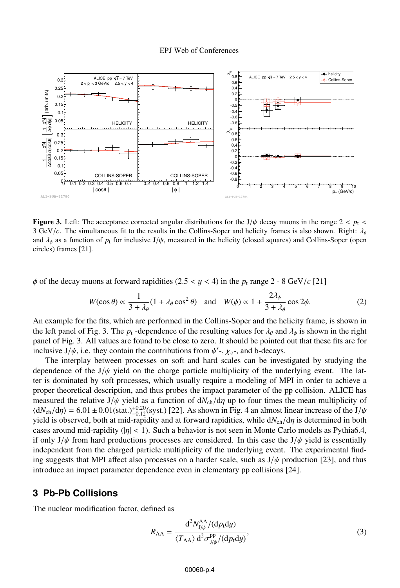

**Figure 3.** Left: The acceptance corrected angular distributions for the J/ $\psi$  decay muons in the range 2 <  $p_1$  < 3 GeV/*c*. The simultaneous fit to the results in the Collins-Soper and helicity frames is also shown. Right:  $\lambda_{\theta}$ and  $\lambda_{\phi}$  as a function of  $p_t$  for inclusive J/ $\psi$ , measured in the helicity (closed squares) and Collins-Soper (open circles) frames [21].

 $\phi$  of the decay muons at forward rapidities (2.5 < y < 4) in the  $p_t$  range 2 - 8 GeV/*c* [21]

$$
W(\cos \theta) \propto \frac{1}{3 + \lambda_{\theta}} (1 + \lambda_{\theta} \cos^2 \theta) \quad \text{and} \quad W(\phi) \propto 1 + \frac{2\lambda_{\phi}}{3 + \lambda_{\theta}} \cos 2\phi. \tag{2}
$$

An example for the fits, which are performed in the Collins-Soper and the helicity frame, is shown in the left panel of Fig. 3. The  $p_t$ -dependence of the resulting values for  $\lambda_\theta$  and  $\lambda_\phi$  is shown in the right panel of Fig. 3. All values are found to be close to zero. It should be pointed out that these fits are for inclusive  $J/\psi$ , i.e. they contain the contributions from  $\psi'$ -,  $\chi_c$ -, and b-decays.

The interplay between processes on soft and hard scales can be investigated by studying the dependence of the  $J/\psi$  yield on the charge particle multiplicity of the underlying event. The latter is dominated by soft processes, which usually require a modeling of MPI in order to achieve a proper theoretical description, and thus probes the impact parameter of the pp collision. ALICE has measured the relative J/ $\psi$  yield as a function of  $dN_{ch}/d\eta$  up to four times the mean multiplicity of  $\langle dN_{ch}/d\eta \rangle = 6.01 \pm 0.01(stat.)^{+0.20}_{-0.12}(syst.)$  [22]. As shown in Fig. 4 an almost linear increase of the J/ $\psi$ yield is observed, both at mid-rapidity and at forward rapidities, while  $dN_{ch}/d\eta$  is determined in both cases around mid-rapidity ( $|\eta| < 1$ ). Such a behavior is not seen in Monte Carlo models as Pythia6.4, if only  $J/\psi$  from hard productions processes are considered. In this case the  $J/\psi$  yield is essentially independent from the charged particle multiplicity of the underlying event. The experimental finding suggests that MPI affect also processes on a harder scale, such as  $J/\psi$  production [23], and thus introduce an impact parameter dependence even in elementary pp collisions [24].

## **3 Pb-Pb Collisions**

The nuclear modification factor, defined as

$$
R_{\rm AA} = \frac{\mathrm{d}^2 N_{\rm J/\psi}^{\rm AA} / (\mathrm{d} p_{\rm t} \mathrm{d} y)}{\langle T_{\rm AA} \rangle \mathrm{d}^2 \sigma_{\rm J/\psi}^{\rm pp} / (\mathrm{d} p_{\rm t} \mathrm{d} y)},\tag{3}
$$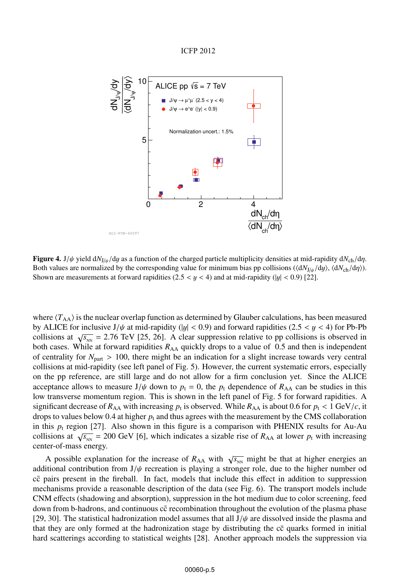ICFP 2012



Figure 4. <sup>J</sup>/ψ yield d*N*J/ψ/d<sup>y</sup> as a function of the charged particle multiplicity densities at mid-rapidity d*N*ch/dη. Both values are normalized by the corresponding value for minimum bias pp collisions ( $\langle \frac{dN_{J/\psi}}{dy} \rangle$ ,  $\langle \frac{dN_{Ch}}{dy} \rangle$ ). Shown are measurements at forward rapidities  $(2.5 < y < 4)$  and at mid-rapidity  $(|y| < 0.9)$  [22].

where  $\langle T_{AA} \rangle$  is the nuclear overlap function as determined by Glauber calculations, has been measured by ALICE for inclusive  $J/\psi$  at mid-rapidity (|y| < 0.9) and forward rapidities (2.5 < y < 4) for Pb-Pb collisions at  $\sqrt{s_{NN}}$  = 2.76 TeV [25, 26]. A clear suppression relative to pp collisions is observed in both cases. While at forward rapidities  $R_{AA}$  quickly drops to a value of 0.5 and then is independent of centrality for  $N_{part} > 100$ , there might be an indication for a slight increase towards very central collisions at mid-rapidity (see left panel of Fig. 5). However, the current systematic errors, especially on the pp reference, are still large and do not allow for a firm conclusion yet. Since the ALICE acceptance allows to measure  $J/\psi$  down to  $p_t = 0$ , the  $p_t$  dependence of  $R_{AA}$  can be studies in this low transverse momentum region. This is shown in the left panel of Fig. 5 for forward rapidities. A significant decrease of  $R_{AA}$  with increasing  $p_t$  is observed. While  $R_{AA}$  is about 0.6 for  $p_t < 1$  GeV/*c*, it drops to values below 0.4 at higher  $p_t$  and thus agrees with the measurement by the CMS collaboration in this  $p_t$  region [27]. Also shown in this figure is a comparison with PHENIX results for Au-Au collisions at  $\sqrt{s_{NN}}$  = 200 GeV [6], which indicates a sizable rise of  $R_{AA}$  at lower  $p_t$  with increasing center-of-mass energy.

A possible explanation for the increase of  $R_{AA}$  with  $\sqrt{s_{NN}}$  might be that at higher energies an additional contribution from  $J/\psi$  recreation is playing a stronger role, due to the higher number od cc pairs present in the fireball. In fact, models that include this effect in addition to suppression mechanisms provide a reasonable description of the data (see Fig. 6). The transport models include CNM effects (shadowing and absorption), suppression in the hot medium due to color screening, feed down from b-hadrons, and continuous cc recombination throughout the evolution of the plasma phase [29, 30]. The statistical hadronization model assumes that all  $J/\psi$  are dissolved inside the plasma and that they are only formed at the hadronization stage by distributing the cc quarks formed in initial hard scatterings according to statistical weights [28]. Another approach models the suppression via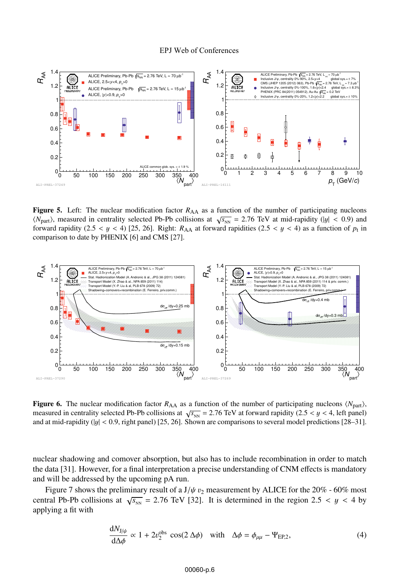#### EPJ Web of Conferences



Figure 5. Left: The nuclear modification factor  $R_{AA}$  as a function of the number of participating nucleons  $\langle N_{\text{part}}\rangle$ , measured in centrality selected Pb-Pb collisions at  $\sqrt{s_{\text{NN}}}$  = 2.76 TeV at mid-rapidity (|y| < 0.9) and forward rapidity (2.5 < y < 4) [25, 26]. Right:  $R_{AA}$  at forward rapidities (2.5 < y < 4) as a function of  $p_t$  in comparison to date by PHENIX [6] and CMS [27].



Figure 6. The nuclear modification factor  $R_{AA}$  as a function of the number of participating nucleons  $\langle N_{\text{part}} \rangle$ , measured in centrality selected Pb-Pb collisions at  $\sqrt{s_{NN}} = 2.76$  TeV at forward rapidity (2.5 < y < 4, left panel) and at mid-rapidity ( $|y| < 0.9$ , right panel) [25, 26]. Shown are comparisons to several model predictions [28–31].

nuclear shadowing and comover absorption, but also has to include recombination in order to match the data [31]. However, for a final interpretation a precise understanding of CNM effects is mandatory and will be addressed by the upcoming pA run.

Figure 7 shows the preliminary result of a  $J/\psi v_2$  measurement by ALICE for the 20% - 60% most central Pb-Pb collisions at  $\sqrt{s_{NN}}$  = 2.76 TeV [32]. It is determined in the region 2.5 < y < 4 by applying a fit with

d*N*J/<sup>ψ</sup>

$$
\frac{dN_{J/\psi}}{d\Delta\phi} \propto 1 + 2v_2^{\text{obs}} \cos(2\,\Delta\phi) \quad \text{with} \quad \Delta\phi = \phi_{\mu\mu} - \Psi_{\text{EP},2},\tag{4}
$$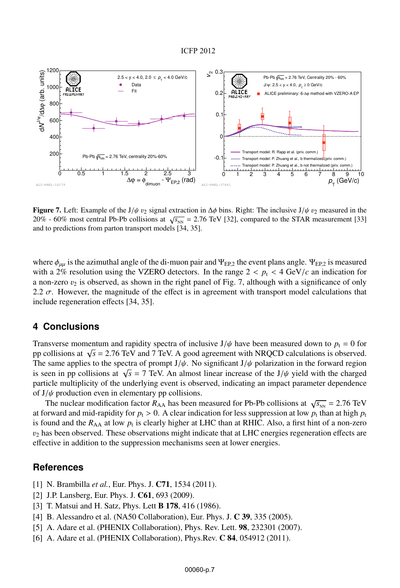#### ICFP 2012



Figure 7. Left: Example of the J/ $\psi v_2$  signal extraction in  $\Delta \phi$  bins. Right: The inclusive J/ $\psi v_2$  measured in the 20% - 60% most central Pb-Pb collisions at  $\sqrt{s_{NN}}$  = 2.76 TeV [32], compared to the STAR measurement [33] and to predictions from parton transport models [34, 35].

where  $\phi_{\mu\mu}$  is the azimuthal angle of the di-muon pair and  $\Psi_{\text{ER2}}$  the event plans angle.  $\Psi_{\text{ER2}}$  is measured with a 2% resolution using the VZERO detectors. In the range  $2 < p_t < 4$  GeV/ $c$  an indication for a non-zero  $v_2$  is observed, as shown in the right panel of Fig. 7, although with a significance of only 2.2  $\sigma$ . However, the magnitude of the effect is in agreement with transport model calculations that include regeneration effects [34, 35].

## **4 Conclusions**

Transverse momentum and rapidity spectra of inclusive  $J/\psi$  have been measured down to  $p_t = 0$  for pp collisions at <sup>√</sup>*<sup>s</sup>* <sup>=</sup> 2.76 TeV and 7 TeV. A good agreement with NRQCD calculations is observed. The same applies to the spectra of prompt  $J/\psi$ . No significant  $J/\psi$  polarization in the forward region is seen in pp collisions at  $\sqrt{s}$  = 7 TeV. An almost linear increase of the J/ $\psi$  yield with the charged particle multiplicity of the underlying event is observed, indicating an impact parameter dependence of  $J/\psi$  production even in elementary pp collisions.

The nuclear modification factor  $R_{AA}$  has been measured for Pb-Pb collisions at  $\sqrt{s_{NN}} = 2.76$  TeV at forward and mid-rapidity for  $p_t > 0$ . A clear indication for less suppression at low  $p_t$  than at high  $p_t$ is found and the  $R_{AA}$  at low  $p_t$  is clearly higher at LHC than at RHIC. Also, a first hint of a non-zero  $v<sub>2</sub>$  has been observed. These observations might indicate that at LHC energies regeneration effects are effective in addition to the suppression mechanisms seen at lower energies.

### **References**

- [1] N. Brambilla *et al.*, Eur. Phys. J. C71, 1534 (2011).
- [2] J.P. Lansberg, Eur. Phys. J. C61, 693 (2009).
- [3] T. Matsui and H. Satz, Phys. Lett **B 178**, 416 (1986).
- [4] B. Alessandro et al. (NA50 Collaboration), Eur. Phys. J. **C 39**, 335 (2005).
- [5] A. Adare et al. (PHENIX Collaboration), Phys. Rev. Lett. 98, 232301 (2007).
- [6] A. Adare et al. (PHENIX Collaboration), Phys.Rev. **C 84**, 054912 (2011).